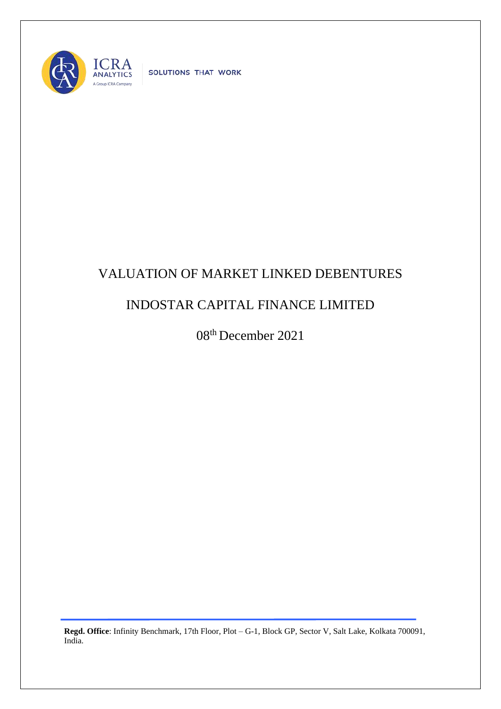

SOLUTIONS THAT WORK

## VALUATION OF MARKET LINKED DEBENTURES

## INDOSTAR CAPITAL FINANCE LIMITED

08 th December 2021

**Regd. Office**: Infinity Benchmark, 17th Floor, Plot – G-1, Block GP, Sector V, Salt Lake, Kolkata 700091, India.